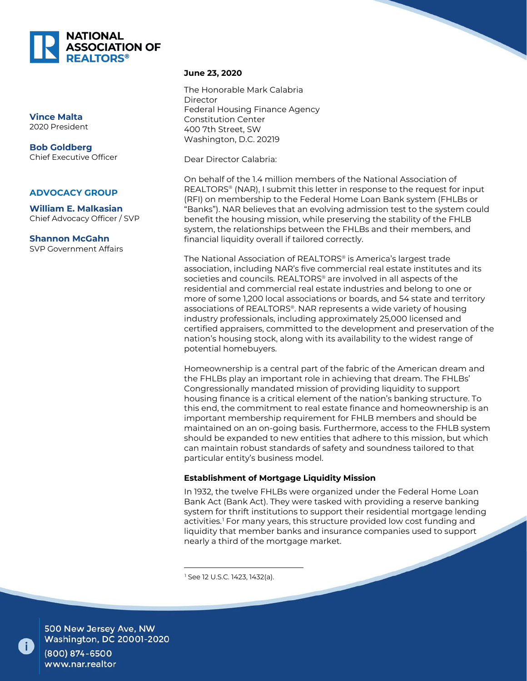

**Vince Malta** 2020 President

**Bob Goldberg** Chief Executive Officer

#### **ADVOCACY GROUP**

**William E. Malkasian** Chief Advocacy Officer / SVP

**Shannon McGahn** SVP Government Affairs

#### **June 23, 2020**

The Honorable Mark Calabria Director Federal Housing Finance Agency Constitution Center 400 7th Street, SW Washington, D.C. 20219

Dear Director Calabria:

On behalf of the 1.4 million members of the National Association of REALTORS® (NAR), I submit this letter in response to the request for input (RFI) on membership to the Federal Home Loan Bank system (FHLBs or "Banks"). NAR believes that an evolving admission test to the system could benefit the housing mission, while preserving the stability of the FHLB system, the relationships between the FHLBs and their members, and financial liquidity overall if tailored correctly.

The National Association of REALTORS® is America's largest trade association, including NAR's five commercial real estate institutes and its societies and councils. REALTORS® are involved in all aspects of the residential and commercial real estate industries and belong to one or more of some 1,200 local associations or boards, and 54 state and territory associations of REALTORS®. NAR represents a wide variety of housing industry professionals, including approximately 25,000 licensed and certified appraisers, committed to the development and preservation of the nation's housing stock, along with its availability to the widest range of potential homebuyers.

Homeownership is a central part of the fabric of the American dream and the FHLBs play an important role in achieving that dream. The FHLBs' Congressionally mandated mission of providing liquidity to support housing finance is a critical element of the nation's banking structure. To this end, the commitment to real estate finance and homeownership is an important membership requirement for FHLB members and should be maintained on an on-going basis. Furthermore, access to the FHLB system should be expanded to new entities that adhere to this mission, but which can maintain robust standards of safety and soundness tailored to that particular entity's business model.

## **Establishment of Mortgage Liquidity Mission**

In 1932, the twelve FHLBs were organized under the Federal Home Loan Bank Act (Bank Act). They were tasked with providing a reserve banking system for thrift institutions to support their residential mortgage lending activities.<sup>[1](#page-0-0)</sup> For many years, this structure provided low cost funding and liquidity that member banks and insurance companies used to support nearly a third of the mortgage market.

<sup>1</sup> See 12 U.S.C. 1423, 1432(a).

<span id="page-0-0"></span>

500 New Jersey Ave, NW<br>Washington, DC 20001-2020

(800) 874-6500 www.nar.realtor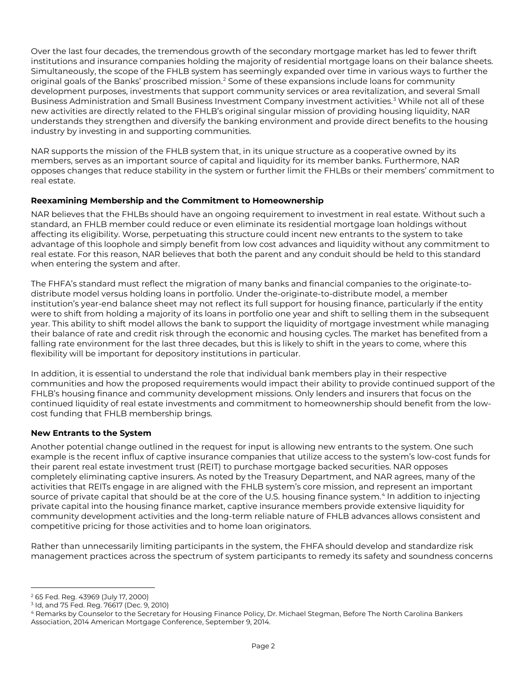Over the last four decades, the tremendous growth of the secondary mortgage market has led to fewer thrift institutions and insurance companies holding the majority of residential mortgage loans on their balance sheets. Simultaneously, the scope of the FHLB system has seemingly expanded over time in various ways to further the original goals of the Banks' proscribed mission.[2](#page-1-0) Some of these expansions include loans for community development purposes, investments that support community services or area revitalization, and several Small Business Administration and Small Business Investment Company investment activities.[3](#page-1-1) While not all of these new activities are directly related to the FHLB's original singular mission of providing housing liquidity, NAR understands they strengthen and diversify the banking environment and provide direct benefits to the housing industry by investing in and supporting communities.

NAR supports the mission of the FHLB system that, in its unique structure as a cooperative owned by its members, serves as an important source of capital and liquidity for its member banks. Furthermore, NAR opposes changes that reduce stability in the system or further limit the FHLBs or their members' commitment to real estate.

# **Reexamining Membership and the Commitment to Homeownership**

NAR believes that the FHLBs should have an ongoing requirement to investment in real estate. Without such a standard, an FHLB member could reduce or even eliminate its residential mortgage loan holdings without affecting its eligibility. Worse, perpetuating this structure could incent new entrants to the system to take advantage of this loophole and simply benefit from low cost advances and liquidity without any commitment to real estate. For this reason, NAR believes that both the parent and any conduit should be held to this standard when entering the system and after.

The FHFA's standard must reflect the migration of many banks and financial companies to the originate-todistribute model versus holding loans in portfolio. Under the-originate-to-distribute model, a member institution's year-end balance sheet may not reflect its full support for housing finance, particularly if the entity were to shift from holding a majority of its loans in portfolio one year and shift to selling them in the subsequent year. This ability to shift model allows the bank to support the liquidity of mortgage investment while managing their balance of rate and credit risk through the economic and housing cycles. The market has benefited from a falling rate environment for the last three decades, but this is likely to shift in the years to come, where this flexibility will be important for depository institutions in particular.

In addition, it is essential to understand the role that individual bank members play in their respective communities and how the proposed requirements would impact their ability to provide continued support of the FHLB's housing finance and community development missions. Only lenders and insurers that focus on the continued liquidity of real estate investments and commitment to homeownership should benefit from the lowcost funding that FHLB membership brings.

## **New Entrants to the System**

Another potential change outlined in the request for input is allowing new entrants to the system. One such example is the recent influx of captive insurance companies that utilize access to the system's low-cost funds for their parent real estate investment trust (REIT) to purchase mortgage backed securities. NAR opposes completely eliminating captive insurers. As noted by the Treasury Department, and NAR agrees, many of the activities that REITs engage in are aligned with the FHLB system's core mission, and represent an important source of private capital that should be at the core of the U.S. housing finance system.<sup>[4](#page-1-2)</sup> In addition to injecting private capital into the housing finance market, captive insurance members provide extensive liquidity for community development activities and the long-term reliable nature of FHLB advances allows consistent and competitive pricing for those activities and to home loan originators.

Rather than unnecessarily limiting participants in the system, the FHFA should develop and standardize risk management practices across the spectrum of system participants to remedy its safety and soundness concerns

 $\overline{a}$ <sup>2</sup> 65 Fed. Reg. 43969 (July 17, 2000)

<span id="page-1-1"></span><span id="page-1-0"></span><sup>3</sup> Id, and 75 Fed. Reg. 76617 (Dec. 9, 2010)

<span id="page-1-2"></span><sup>4</sup> Remarks by Counselor to the Secretary for Housing Finance Policy, Dr. Michael Stegman, Before The North Carolina Bankers Association, 2014 American Mortgage Conference, September 9, 2014.